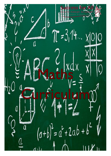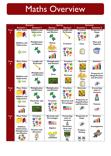### Maths Overview

|           | <b>Autumn</b>                                                                            |                                                                                | <b>Spring</b>                                                                                           |                                                                                                                     | <b>Summer</b>                                                                                     |                                                                                     |
|-----------|------------------------------------------------------------------------------------------|--------------------------------------------------------------------------------|---------------------------------------------------------------------------------------------------------|---------------------------------------------------------------------------------------------------------------------|---------------------------------------------------------------------------------------------------|-------------------------------------------------------------------------------------|
|           | <b>Autumn I</b>                                                                          | <b>Autumn 2</b>                                                                | <b>Spring I</b>                                                                                         | <b>Spring 2</b>                                                                                                     | Summer I                                                                                          | <b>Summer 2</b>                                                                     |
| Year<br>3 | <b>Place Value</b>                                                                       | <b>Addition and</b><br><b>Subtraction</b>                                      | <b>Multiplication</b><br>and Division                                                                   | <b>Length and</b><br><b>Perimeter</b>                                                                               | <b>Fractions</b>                                                                                  | <b>Properties of</b><br>shape                                                       |
|           | <b>Addition and</b><br><b>Subtraction</b>                                                | <b>Multiplication</b><br>and Division                                          | <b>Money</b><br><b>Statistics</b>                                                                       | <b>Fractions</b>                                                                                                    | <b>Time</b>                                                                                       | <b>Mass and</b><br>Capacity                                                         |
| Year<br>4 | <b>Place Value</b><br><b>Addition and</b><br><b>Subtraction</b>                          | <b>Length and</b><br><b>Perimeter</b><br><b>Multiplication</b><br>and Division | <b>Multiplication</b><br>and Division<br>Area                                                           | <b>Fractions</b><br><b>Decimals</b>                                                                                 | <b>Decimals</b><br><b>Money</b><br>Time                                                           | <b>Statistics</b><br><b>Properties of</b><br><b>Shape/Position</b><br>and direction |
| Year<br>5 | <b>Place Value</b><br><b>Addition and</b><br><b>Subtraction</b><br><b>Statistics</b>     | <b>Multiplication</b><br>and Division<br><b>Perimeter and</b><br>Area          | <b>Multiplication</b><br>and Division<br><b>Fractions</b>                                               | <b>Fractions</b><br><b>Decimals and</b><br><b>Percentages</b><br>$\frac{1}{8}$ .167 25%<br>1.5 100%                 | <b>Decimals</b><br><b>Properties of</b><br>shape/Position<br>and Direction<br>$\overline{\wedge}$ | <b>Converting</b><br>units of<br>measure<br>Volume                                  |
| Year<br>6 | <b>Place Value</b><br>Addition,<br>Subtraction,<br><b>Multiplication</b><br>and Division | <b>Fractions</b><br><b>Position and</b><br><b>Direction</b>                    | <b>Decimals and</b><br><b>Percentages</b><br>$\frac{1}{8}$ .167 25%<br>$\frac{1}{3}$ .5 100%<br>Algebra | <b>Converting</b><br>units of<br>measure<br>Perimeter,<br>Area and<br><b>Volume</b><br><b>Ratio</b><br>$\mathbb{Q}$ | <b>Properties of</b><br>shape<br>Problem<br><b>Solving</b>                                        | <b>Statistics</b><br><b>Investigations</b>                                          |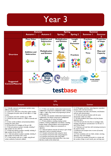

| <b>KPIs</b>                                                                                                                                                                                                                                                                                                                                                                                                                                                                                                                                                                                                                                                                                                                                                                                                                                                         |                                                                                                                                                                                                                                                                                                                                                                                                                                                                                                                                                                                                                                                                                                                                                                                                                                                                                                                                                                                         |                                                                                                                                                                                                                                                                                                                                                                                                                                                                                                                                                                                                                                                                                                                                                                                                                                                                    |  |  |
|---------------------------------------------------------------------------------------------------------------------------------------------------------------------------------------------------------------------------------------------------------------------------------------------------------------------------------------------------------------------------------------------------------------------------------------------------------------------------------------------------------------------------------------------------------------------------------------------------------------------------------------------------------------------------------------------------------------------------------------------------------------------------------------------------------------------------------------------------------------------|-----------------------------------------------------------------------------------------------------------------------------------------------------------------------------------------------------------------------------------------------------------------------------------------------------------------------------------------------------------------------------------------------------------------------------------------------------------------------------------------------------------------------------------------------------------------------------------------------------------------------------------------------------------------------------------------------------------------------------------------------------------------------------------------------------------------------------------------------------------------------------------------------------------------------------------------------------------------------------------------|--------------------------------------------------------------------------------------------------------------------------------------------------------------------------------------------------------------------------------------------------------------------------------------------------------------------------------------------------------------------------------------------------------------------------------------------------------------------------------------------------------------------------------------------------------------------------------------------------------------------------------------------------------------------------------------------------------------------------------------------------------------------------------------------------------------------------------------------------------------------|--|--|
| Autumn                                                                                                                                                                                                                                                                                                                                                                                                                                                                                                                                                                                                                                                                                                                                                                                                                                                              | Spring                                                                                                                                                                                                                                                                                                                                                                                                                                                                                                                                                                                                                                                                                                                                                                                                                                                                                                                                                                                  | Summer                                                                                                                                                                                                                                                                                                                                                                                                                                                                                                                                                                                                                                                                                                                                                                                                                                                             |  |  |
| 3.1.1 Identify, represent and estimate numbers using<br>different representations<br>3.1.2 Find 10 or 100 more or less than a given number.<br>3.1.3 Recognise the place value of each digit in a 3 digit<br>number<br>3.1.4 Compare and order numbers up to 1000<br>3.1.5 Read and write numbers to 1,000 in numerals and<br>words<br>3.1.6 Solve number problems and practical problems<br>involving the above ideas<br>3.1.8 Count from 0 in multiples of 50 and 100.<br>3.1.9 Add and subtract numbers mentally, including 3<br>digit numbers & ones $(365+5)$<br>3.1.10 Add and subtract numbers mentally, including 3-<br>digit numbers $&$ tens $(365+10)$<br>3.1.11 Add and subtract numbers mentally, including 3-<br>digit numbers & hundreds (365 +432)<br>3.1.12 Add numbers with up to 3 digits, using formal<br>written methods of columnar addition. | 3.1.17 Write and calculate mathematical statements for<br>multiplication using known multiplication tables, including<br>2-digit x 1-digit, using mental and progressing to formal<br>written methods.<br>3.1.18 Write and calculate mathematical statements for<br>multiplication and division using known multiplication<br>tables, including use of money and length<br>3.1.19 Solve problems, including missing number<br>problems, involving multiplication and division, including<br>positive integer scaling problems and correspondence<br>problems in which n objects are connected to m<br>objectives.<br>3.2.1 Add and subtract amounts of money to give change<br>using both $E$ and $p$ in practical contexts.<br>3.4.1 Interpret and present data using bar charts<br>3.4.2 Interpret and present data using pictograms<br>3.4.3 Interpret and present data using tables<br>3.4.4 Read and present information from a bar chart<br>that has a scale on the vertical axis | 3.1.23 Recognise and show, using diagrams, equivalent<br>fractions with small denominators.<br>3.1.24 Compare and order unit fractions, and fractions<br>with the same denominators.<br>3.1.25 Add and subtract fractions with the same<br>denominator within one whole.<br>3.1.26 Solve problems that involve all of the fraction<br>objectives above.<br>3.2.6 Tell and write the time from an analogue clock,<br>including using Roman numerals from I to XII and 12<br>and 24 hour clocks<br>3.2.7 Estimate and read time with increasing accuracy to<br>the nearest minute:<br>3.2.8 Record and compare time in terms of seconds,<br>minutes, hours.<br>3.2.9 Use vocabulary such as o'clock, am/pm, morning,<br>afternoon, noon and midnight.<br>3.2.10 Know the numbers of seconds in a minute and<br>the number of days in each month, year and leap year. |  |  |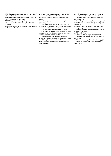| 3.1.13 Subtract numbers with up to 3 digit, using formal    | 3.4.5 Solve T-step and 2-step questions such as 'How      | 3.2.11 Compare durations of events, for example to           |
|-------------------------------------------------------------|-----------------------------------------------------------|--------------------------------------------------------------|
| written methods of columnar subtraction.                    | many more?' and 'How many fewer?' using information       | calculate time taken by particular events or tasks.          |
| 3.1.14 Estimate the answer to a calculation and use the     | presented in scaled bar charts pictograms and other       | 3.3.1 Recognise angles are a property of shape or a          |
| inverse operations to check answers.                        | graphs                                                    | description of a turn.                                       |
| 3.1.15 Solve problems including missing number              | 3.2.2 Measure, compare, add & subtract lengths            | 3.3.2 Identify right angles; recognise that two right angles |
| problems, place value and more complex addition and         | (m/cm/mm)                                                 | make a half-turn, three make three quarters & four a         |
| subtraction.                                                | 3.1.27 Add and subtract measures (length, weight and      | complete turn                                                |
| 3.1.16 Recall and use the multiplication and division facts | volume) with up to 3 digits, using formal written methods | 3.3.3 Identify whether angles are greater than or less       |
| for the 3, 4 and 8 tables.                                  | of columnar addition and subtraction.                     | than a right angle                                           |
|                                                             | 3.2.5 Measure the perimeter of simple 2D shapes.          | 3.3.4 Identify horizontal and vertical lines and pairs of    |
|                                                             | .1.20 Count up and down in tenths; recognise that tenths  | perpendicular & parallel lines.                              |
|                                                             | arise from dividing an object into ten equal parts and in | 3.3.5 Draw 2D shapes                                         |
|                                                             | dividing numbers or quantities by 10.                     | 3.3.6 Make 3D shapes using modelling materials               |
|                                                             | 3.1.21 Recognise and use fractions as numbers: unit       | 3.3.7 Recognise 3D shapes in different orientations; &       |
|                                                             | fractions and non-unit fractions with small denominators. | describe them                                                |
|                                                             | 3.1.22 Recognise, find and write fractions of a discrete  | 3.2.3 Measure, compare, add & subtract mass (kg/g)           |
|                                                             | set of objects: unit fractions & non-unit fractions with  | 3.2.4 Measure, compare, add & subtract volume/               |
|                                                             | small denominators                                        | capacity (l/ml).                                             |
|                                                             |                                                           |                                                              |
|                                                             |                                                           |                                                              |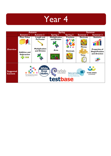|                                    |                                                                                                                                                                                                                                                                                                 | <b>Autumn</b>                         | <b>Spring</b>                         |                  |                                 | <b>Summer</b>                                                  |
|------------------------------------|-------------------------------------------------------------------------------------------------------------------------------------------------------------------------------------------------------------------------------------------------------------------------------------------------|---------------------------------------|---------------------------------------|------------------|---------------------------------|----------------------------------------------------------------|
|                                    | <b>Autumn I</b>                                                                                                                                                                                                                                                                                 | <b>Autumn 2</b>                       | <b>Spring I</b>                       | <b>Spring 2</b>  | Summer I                        | <b>Summer 2</b>                                                |
|                                    | <b>Place Value</b>                                                                                                                                                                                                                                                                              | Length and<br><b>Perimeter</b>        | <b>Multiplication</b><br>and Division | <b>Fractions</b> | <b>Decimals</b><br><b>Money</b> | <b>Statistics</b>                                              |
| <b>Overview</b>                    | <b>Addition and</b><br><b>Subtraction</b>                                                                                                                                                                                                                                                       | <b>Multiplication</b><br>and Division | Area                                  | <b>Decimals</b>  | <b>Time</b>                     | <b>Properties of</b><br><b>Shape/Position</b><br>and direction |
| <b>Suggested</b><br><b>Content</b> | <b>White</b><br><b>R</b> ose<br>non<br><b>THIRD SPACE</b><br><b>National Centre</b><br>enriching mathematics<br><b>Maths</b><br><b>LEARNING</b><br>for Excellence in the<br>The National Curriculum<br><b>Teaching of Mathematics</b><br>Handbook for secondary teachers in England<br>testbase |                                       |                                       |                  |                                 |                                                                |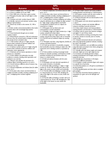|                                                                                                                                                                                                                                                                                                                                                                                                                                                                                                                                                                                                                                                                                                                                                                                                                                                                                                                                                                                                                                                                                                                                                                                                                                                                                                                                                                                                                                                                                                                                                                                                                                                                                                                                   | <b>KPIs</b>                                                                                                                                                                                                                                                                                                                                                                                                                                                                                                                                                                                                                                                                                                                                                                                                                                                                                                                                                                                                                                                                                                                                                                                                                                                                                                                                                                                                                                                                                                                                                                                                                                                                                                                                                                                                                                                                                                                                                                                                                                                              |                                                                                                                                                                                                                                                                                                                                                                                                                                                                                                                                                                                                                                                                                                                                                                                                                                                                                                                                                                                                                                                                                                                                                                                                                                                                                                                                                                                                                                                                                                                                                                                                                                                                                                                                                                                                                              |
|-----------------------------------------------------------------------------------------------------------------------------------------------------------------------------------------------------------------------------------------------------------------------------------------------------------------------------------------------------------------------------------------------------------------------------------------------------------------------------------------------------------------------------------------------------------------------------------------------------------------------------------------------------------------------------------------------------------------------------------------------------------------------------------------------------------------------------------------------------------------------------------------------------------------------------------------------------------------------------------------------------------------------------------------------------------------------------------------------------------------------------------------------------------------------------------------------------------------------------------------------------------------------------------------------------------------------------------------------------------------------------------------------------------------------------------------------------------------------------------------------------------------------------------------------------------------------------------------------------------------------------------------------------------------------------------------------------------------------------------|--------------------------------------------------------------------------------------------------------------------------------------------------------------------------------------------------------------------------------------------------------------------------------------------------------------------------------------------------------------------------------------------------------------------------------------------------------------------------------------------------------------------------------------------------------------------------------------------------------------------------------------------------------------------------------------------------------------------------------------------------------------------------------------------------------------------------------------------------------------------------------------------------------------------------------------------------------------------------------------------------------------------------------------------------------------------------------------------------------------------------------------------------------------------------------------------------------------------------------------------------------------------------------------------------------------------------------------------------------------------------------------------------------------------------------------------------------------------------------------------------------------------------------------------------------------------------------------------------------------------------------------------------------------------------------------------------------------------------------------------------------------------------------------------------------------------------------------------------------------------------------------------------------------------------------------------------------------------------------------------------------------------------------------------------------------------------|------------------------------------------------------------------------------------------------------------------------------------------------------------------------------------------------------------------------------------------------------------------------------------------------------------------------------------------------------------------------------------------------------------------------------------------------------------------------------------------------------------------------------------------------------------------------------------------------------------------------------------------------------------------------------------------------------------------------------------------------------------------------------------------------------------------------------------------------------------------------------------------------------------------------------------------------------------------------------------------------------------------------------------------------------------------------------------------------------------------------------------------------------------------------------------------------------------------------------------------------------------------------------------------------------------------------------------------------------------------------------------------------------------------------------------------------------------------------------------------------------------------------------------------------------------------------------------------------------------------------------------------------------------------------------------------------------------------------------------------------------------------------------------------------------------------------------|
| <b>Autumn</b>                                                                                                                                                                                                                                                                                                                                                                                                                                                                                                                                                                                                                                                                                                                                                                                                                                                                                                                                                                                                                                                                                                                                                                                                                                                                                                                                                                                                                                                                                                                                                                                                                                                                                                                     | <b>Spring</b>                                                                                                                                                                                                                                                                                                                                                                                                                                                                                                                                                                                                                                                                                                                                                                                                                                                                                                                                                                                                                                                                                                                                                                                                                                                                                                                                                                                                                                                                                                                                                                                                                                                                                                                                                                                                                                                                                                                                                                                                                                                            | <b>Summer</b>                                                                                                                                                                                                                                                                                                                                                                                                                                                                                                                                                                                                                                                                                                                                                                                                                                                                                                                                                                                                                                                                                                                                                                                                                                                                                                                                                                                                                                                                                                                                                                                                                                                                                                                                                                                                                |
| 4.1.1 Count in multiples of 6, 7, 9, 25 and 1000<br>4.1.2 Count in multiples of 25 and 1000<br>4.1.3 Find 1000 more or less than a given number<br>4.1.4 Recognise the place value of each digit in a four<br>digit number<br>4.1.5 Compare and order numbers beyond 1000<br>4.1.6 Identify, represent and estimate numbers using<br>different representations<br>4.1.7 Round any number to the nearest 10, 100 or<br>1000<br>4.1.8 Solve number and practical problems that involve<br>all of the above with increasingly large positive<br>numbers<br>4.1.9 Count backwards through zero to include<br>negative numbers<br>4.1.10 Read Roman numerals to 100 and understand<br>that over time, the numeral system changes to include<br>the concept of zero and place value<br>4.1.11 Add numbers with up to 4 digits using the<br>formal written methods of columnar addition and<br>subtraction, where appropriate<br>4.1.12 Subtract numbers with up to 4 digits using the<br>formal written methods of columnar addition and<br>subtraction, where appropriate<br>4.1.13 Estimate and use inverse operations to check<br>answers to a calculation<br>4.1.14 Solve addition and subtraction two-step<br>problems in contexts, deciding which operations and<br>methods to use and why<br>4.2.1 Measure and calculate the perimeter of a<br>rectilinear figure (including squares) in cm and m<br>4.2.2 Convert between different units of measure (e.g.<br>km to m; hr to min)<br>4.1.15 Recall multiplication and division facts for tables<br>up to $12x12$<br>4.1.16 Use place value, known and derived facts to<br>multiply and divide mentally, including multiplying by 0<br>and I; multiplying three numbers together | 4.1.15 Recall multiplication and division facts for tables<br>up to 12x12<br>4.1.16 Use place value, known and derived facts to<br>multiply and divide mentally, including multiplying by 0<br>and I; multiplying three numbers together<br>4.1.17 Solve problems involving multiplying and adding,<br>using the distributive law to multiply two digit numbers<br>by I digit, integer scaling problems and harder<br>correspondence problems such as n objects are<br>connected to m objects<br>4.1.18 Recognise and use factor pairs and<br>commutativity in mental calculations<br>4.1.19 Multiply 2-digit and 3-digit numbers by a 1-digit<br>number using formal written layout<br>4.1.20 Divide 2-digit and 3-digit numbers by a 1-digit<br>number using formal written layout with no remainder<br>4.2.3 Find the area of rectilinear shapes by counting<br>squares<br>4.1.21 Recognise and show, using diagrams, families of<br>common equivalent fractions<br>4.1.22 Count up and down in hundredths; recognise<br>that hundredths arise from dividing an object into 100<br>equal parts and in dividing numbers or quantities by<br>100<br>4.1.23 Solve problems involving increasingly harder<br>fractions to calculate quantities, and fractions to divide<br>quantities including non-unit fractions where the<br>answer is a whole number<br>4.1.24 Add and subtract fractions with the same<br>denominator<br>4.1.25 Recognise and write decimals equivalents of<br>any number of tenths or hundredths<br>4.1.26 Find the effect of dividing a 1-digit or 2-digit<br>number by 10 and 100, identifying the value of the<br>digits in the answer as ones, tenths and hundredths<br>4.1.31 Find the effect of multiplying a number with up<br>to 2 decimal places by 10 and 100, identifying the<br>value of the digits in the answer as ones, tenths and<br>hundredths<br>4.1.32 Find the effect of dividing a number with up to<br>2 decimal places by 10 and 100, identifying the value<br>of the digits in the answer as ones, tenths and<br>hundredths | 4.1.27 Solve simple measure and money problems<br>involving fractions and decimals to 2 decimal places<br>4.1.28 Compare numbers with the same number of<br>decimal places up to two decimal places<br>4.1.29 Round decimals with one decimal place to the<br>nearest whole number<br>4.1.30 Recognise and write decimal equivalents to $\frac{1}{4}$ ,<br>$\frac{1}{2}$ and $\frac{3}{4}$<br>4.2.4 Estimate, compare and calculate different<br>measures including in pounds and pence<br>4.2.5 Solve simple measure and money problems<br>involving fractions and decimals to 2 decimal places<br>4.2.6 Read, write & convert time between analogue<br>and digital 12- and 24-hour clocks<br>4.2.7 Solve problems involving converting from hours<br>to minutes; minutes to seconds; years to months;<br>weeks to days<br>4.4.1 Interpret and present discrete and continuous<br>data using appropriate graphical methods, including: -<br>bar charts -time graphs<br>4.4.2 Solve comparison, sum and difference problems<br>using information presented in bar charts, pictograms,<br>tables and other graphs<br>4.3.1 Identify acute and obtuse angles and compare<br>and order angles up to two right angles by size<br>4.3.2 Compare and classify geometric shapes,<br>including quadrilaterals and triangles, based on their<br>properties and sizes<br>4.3.3 Identify lines of symmetry in 2D shapes<br>presented in different orientations<br>4.3.4 Complete a simple symmetric figure with respect<br>to a specific line of symmetry<br>4.3.5 Describe positions on a 2D grid as coordinates in<br>the first quadrant<br>4.3.6 Plot specified points and draw sides to complete<br>given polygon<br>4.3.7 Describe movements between positions as<br>translations of a given unit to the left/right and<br>up/down |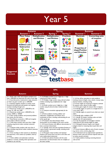

| <b>KPIs</b>                                                                                                                                                                                                                                                                                                                                                                                                                                                                                                                                                                                                                                                                                                                                                                                                                                                                                                                                                                                                                                                                                                                                                                                                               |                                                                                                                                                                                                                                                                                                                                                                                                                                                                                                                                                                                                                                                                                                                                                                                                                                                                                                                                                                                                                                                                                                                                                                                         |                                                                                                                                                                                                                                                                                                                                                                                                                                                                                                                                                                                                                                                                                                                                                                                                                                                                                                                                                                                                                                                                                                                                                                          |  |  |  |
|---------------------------------------------------------------------------------------------------------------------------------------------------------------------------------------------------------------------------------------------------------------------------------------------------------------------------------------------------------------------------------------------------------------------------------------------------------------------------------------------------------------------------------------------------------------------------------------------------------------------------------------------------------------------------------------------------------------------------------------------------------------------------------------------------------------------------------------------------------------------------------------------------------------------------------------------------------------------------------------------------------------------------------------------------------------------------------------------------------------------------------------------------------------------------------------------------------------------------|-----------------------------------------------------------------------------------------------------------------------------------------------------------------------------------------------------------------------------------------------------------------------------------------------------------------------------------------------------------------------------------------------------------------------------------------------------------------------------------------------------------------------------------------------------------------------------------------------------------------------------------------------------------------------------------------------------------------------------------------------------------------------------------------------------------------------------------------------------------------------------------------------------------------------------------------------------------------------------------------------------------------------------------------------------------------------------------------------------------------------------------------------------------------------------------------|--------------------------------------------------------------------------------------------------------------------------------------------------------------------------------------------------------------------------------------------------------------------------------------------------------------------------------------------------------------------------------------------------------------------------------------------------------------------------------------------------------------------------------------------------------------------------------------------------------------------------------------------------------------------------------------------------------------------------------------------------------------------------------------------------------------------------------------------------------------------------------------------------------------------------------------------------------------------------------------------------------------------------------------------------------------------------------------------------------------------------------------------------------------------------|--|--|--|
| <b>Autumn</b>                                                                                                                                                                                                                                                                                                                                                                                                                                                                                                                                                                                                                                                                                                                                                                                                                                                                                                                                                                                                                                                                                                                                                                                                             | <b>Spring</b>                                                                                                                                                                                                                                                                                                                                                                                                                                                                                                                                                                                                                                                                                                                                                                                                                                                                                                                                                                                                                                                                                                                                                                           | <b>Summer</b>                                                                                                                                                                                                                                                                                                                                                                                                                                                                                                                                                                                                                                                                                                                                                                                                                                                                                                                                                                                                                                                                                                                                                            |  |  |  |
| 5.1.1 Read, write, order and compare numbers to at<br>least 1,000,000 and determine the value of each digit<br>5.1.2 Count forwards or backwards in steps of powers<br>of 10 for any given number up to 1,000,000<br>5.1.3 Interpret negative numbers in context, count<br>forwards and backwards with positive and negative<br>numbers including through zero<br>5.1.4 Round any number up to 1,000,000 to the<br>nearest 10, 100, and 1000<br>5.1.5 Round any number up to 1,000,000 to the<br>nearest 10000 or 100000<br>5.1.6 Solve number problems and practical problems<br>that involve all of the above<br>5.1.7 Read Roman numerals to 1000 and recognise<br>years written in Roman numerals<br>5.1.12 Add whole numbers with more than 4 digits<br>including using formal written methods (columnar<br>addition)<br>5.1.13 Subtract whole numbers with more than 4<br>digits including using formal written methods (columnar<br>subtraction)<br>5.1.14 Use rounding to check answers to calculations<br>and determine, in the context of a problem, levels of<br>accuracy<br>5.1.15 Solve addition and subtraction multi-step<br>problems in contexts, deciding which operations and<br>methods to use and why | 5.1.24 Multiply numbers up to 4-digits by a 1-digit<br>using formal written methods<br>5.1.25 Multiply 2-digit number using a formal written<br>method, including long multiplication for 2-digit<br>numbers<br>5.1.26 Divide numbers up to 4-digits by a 1-digit<br>number using the formal written method of short<br>division<br>5.1.27 Interpret remainders appropriately for the<br>context<br>5.1.28 Solve problems involving addition and<br>subtraction, multiplication and division and a<br>combination of these, including understanding the use<br>of the equals sign<br>5.1.29 Compare and order fractions whose<br>denominators are all multiples of the same number<br>5.1.30 Convert fractions with different denominators to<br>have a common denominator<br>5.1.31 Identify, name and write equivalent fractions of<br>a given fraction, represented visually, including tenths<br>and hundredths<br>5.1.32 Recognise mixed numbers and improper<br>fractions and convert from one form to the other and<br>write mathematical statements<br>5.1.33 Add and subtract fractions with the same<br>denominator and denominators that are multiples of<br>the same number | 5.1.44 Use all four operations to solve problems<br>involving measure (length, mass, volume, money) using<br>decimal notation, including scaling<br>5.3.4 Know angles are measured in degrees; estimate<br>& compare acute, obtuse & reflex angles<br>5.3.5 Draw given angles & measure them in degrees<br>5.3.6 Identify angles at a point on a straight line & $\frac{1}{2}$<br>a turn (total $180^\circ$ )<br>5.3.7 Identify angles at a point & one whole turn (total<br>$360^\circ$ )<br>5.3.8 Identify other multiples of 90°<br>5.3.1 Identify 3D shapes, including cubes and other<br>cuboids, from 2D representations<br>5.3.2 Use the properties of rectangles to deduce<br>related facts & find missing lengths & angles<br>5.3.3 Distinguish between regular and irregular<br>polygons based on reasoning about equal sides and<br>angles<br>.2.5 Convert between different units of metric measure<br>(e.g. km/m; cm/m; cm/mm; g/kg; l/ml)<br>5.2.6 Understand and use approximate equivalences<br>between metric units and common imperial units such<br>as inches, pounds and pints<br>5.2.7 Solve problems involving converting between<br>units of time |  |  |  |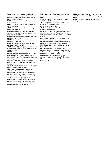| 5.4.1 Solve comparison, addition and difference         | 5.1.34 Multiply proper fractions and mixed numbers     | 5.2.8 Estimate volume (e.g. using I cm3 blocks to      |
|---------------------------------------------------------|--------------------------------------------------------|--------------------------------------------------------|
| problems using information presented in a line graph    | by whole numbers, supported by materials and           | build cubes, including cuboids) & capacity (e.g. using |
| 5.4.2 Complete, read and interpret information in       | diagrams                                               | water)                                                 |
| tables, including timetables                            | .1.35 Read and write decimal numbers as fractions,     | 5.2.9 Use all four operations to solve problems        |
| 5.4.3 Know how to construct a table from a set of       | e.g. $0.71 = 71/100$                                   | involving measure                                      |
| given information                                       | 5.1.36 Solve problems involving multiplication and     |                                                        |
| 5.4.4 Know how to construct a table using only the      | division, including scaling by simple fractions and    |                                                        |
| relevant information                                    | problems involving simple rates                        |                                                        |
| 5.4.5 Construct own table and timetable making          | 5.1.37 Read, write, order and compare numbers with     |                                                        |
| decision about labelling                                | up to three decimal places                             |                                                        |
| 5.1.15 Solve addition and subtraction multi-step        | 5.1.38 Count up and down in thousandths; recognise     |                                                        |
| problems in contexts, deciding which operations and     | that thousandths arise from dividing an object into    |                                                        |
| methods to use and why                                  | 1000 equal parts and in dividing numbers or quantities |                                                        |
| 5.1.16 Multiply and divide numbers mentally drawing     | by 1000                                                |                                                        |
| upon known facts. (12x12)                               | 5.1.39 Recognise and use thousandths and relate them   |                                                        |
| 5.1.17 Multiply whole numbers and those involving       | to tenths, hundredths and decimal equivalents          |                                                        |
| decimals by 10, 100 and 1000                            | 5.1.40 Round decimals with two decimal places to the   |                                                        |
| 5.1.18 Divide whole numbers and those involving         | nearest whole number and to one decimal place          |                                                        |
| decimals by 10, 100 and 1000                            | 5.1.41 Solve problems involving number up to three     |                                                        |
| 5.1.19 Identify multiples and factors including finding | decimal places                                         |                                                        |
| all factor pairs of a number and common factors of      | 5.1.42 Recognise the percent symbol (%) and            |                                                        |
| two numbers up to 100                                   | understand that per cent relates to 'number of parts   |                                                        |
| 5.1.20 Recognise and use square numbers and cube        | per hundred' and write percentages as a fraction with  |                                                        |
| numbers, and the notation for square2 and cubed3        | denominator 100, and as a decimal                      |                                                        |
| 5.1.21 Solve problems involving multiplication and      | 5.1.43 Solve problems which require knowing            |                                                        |
| division including using their knowledge of factors and | percentage and decimal equivalents of 1/2, 1/4, 1/5,   |                                                        |
| multiples, squares and cubes                            | 2/5, 4/5 and those fractions with a denominator of a   |                                                        |
| 5.1.22 Know and use the vocabulary of prime             | multiple of 10 or 25                                   |                                                        |
| numbers, prime factors and composite (non-prime)        |                                                        |                                                        |
| numbers                                                 |                                                        |                                                        |
| 5.1.23 Establish whether a number up to 100 is prime    |                                                        |                                                        |
| and recall prime numbers up to 19                       |                                                        |                                                        |
| 5.2.1 Measure and calculate the perimeter of            |                                                        |                                                        |
| composite rectilinear shapes in cm and m                |                                                        |                                                        |
| 5.2.2 Calculate & compare the area of rectangles        |                                                        |                                                        |
| (including squares, & including using standard units,   |                                                        |                                                        |
| square centimetres (cm2) and square metres (m2)         |                                                        |                                                        |
| 5.2.3 Estimate the area of irregular shapes             |                                                        |                                                        |
| 5.2.4 Calculate & compare the area of rectangles        |                                                        |                                                        |
| (including squares) including using standard units,     |                                                        |                                                        |
| square centimetres (cm2) and square metres (m2) &       |                                                        |                                                        |
| estimate the area of irregular shapes                   |                                                        |                                                        |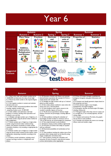

| <b>KPIs</b>                                                                                                                                                                                                                                                                                                                                                                                                                                                                                                                                                                                                                                                                                                                                                                                                                                                                                                                                                                                                                                                                                                                                                                                                                                   |                                                                                                                                                                                                                                                                                                                                                                                                                                                                                                                                                                                                                                                                                                                                                                                                                                                                                                                                                                                                                                                                                                                                                                                                                                                                                                                                        |                                                                                                                                                                                                                                                                                                                                                                                                                                                                                                                                                                                                                                                                                                             |  |  |
|-----------------------------------------------------------------------------------------------------------------------------------------------------------------------------------------------------------------------------------------------------------------------------------------------------------------------------------------------------------------------------------------------------------------------------------------------------------------------------------------------------------------------------------------------------------------------------------------------------------------------------------------------------------------------------------------------------------------------------------------------------------------------------------------------------------------------------------------------------------------------------------------------------------------------------------------------------------------------------------------------------------------------------------------------------------------------------------------------------------------------------------------------------------------------------------------------------------------------------------------------|----------------------------------------------------------------------------------------------------------------------------------------------------------------------------------------------------------------------------------------------------------------------------------------------------------------------------------------------------------------------------------------------------------------------------------------------------------------------------------------------------------------------------------------------------------------------------------------------------------------------------------------------------------------------------------------------------------------------------------------------------------------------------------------------------------------------------------------------------------------------------------------------------------------------------------------------------------------------------------------------------------------------------------------------------------------------------------------------------------------------------------------------------------------------------------------------------------------------------------------------------------------------------------------------------------------------------------------|-------------------------------------------------------------------------------------------------------------------------------------------------------------------------------------------------------------------------------------------------------------------------------------------------------------------------------------------------------------------------------------------------------------------------------------------------------------------------------------------------------------------------------------------------------------------------------------------------------------------------------------------------------------------------------------------------------------|--|--|
| <b>Autumn</b>                                                                                                                                                                                                                                                                                                                                                                                                                                                                                                                                                                                                                                                                                                                                                                                                                                                                                                                                                                                                                                                                                                                                                                                                                                 | <b>Spring</b>                                                                                                                                                                                                                                                                                                                                                                                                                                                                                                                                                                                                                                                                                                                                                                                                                                                                                                                                                                                                                                                                                                                                                                                                                                                                                                                          | <b>Summer</b>                                                                                                                                                                                                                                                                                                                                                                                                                                                                                                                                                                                                                                                                                               |  |  |
| 6.1.1 Read, write, order and compare numbers up to<br>10,000,000 and determine the value of each digit<br>6.1.2 Round any whole number to the required degree<br>of accuracy<br>6.1.3 Use negative numbers in context and calculate<br>intervals across zero<br>6.1.4 Solve number and practical problems that involve<br>rounding, negative numbers and<br>comparing numbers up to 10 000 000<br>6.1.5 Solve addition and subtraction multi step<br>problems in contexts, deciding which operations and<br>methods to use and why<br>6.1.6 Multiply multi-digit numbers up to 4-digits by a 2-<br>digit whole number using the formal written method of<br>long multiplication<br>6.1.7 Divide numbers up to 4-digits by a 2-digit whole<br>number using the formal written method of long<br>division, and interpret remainders as whole number<br>remainders, fractions, or by rounding, as appropriate for<br>the context<br>6.1.8 Divide numbers up to 4-digits by a 2-digit number<br>using the formal written method of short division, where<br>appropriate, interpreting remainders according to the<br>context<br>6.1.9 Perform mental calculations, including mixed<br>numbers and large numbers in multiplication and<br>division | 6.1.20 Associate a fraction with division and calculate<br>decimal fraction equivalents (for example 0.375) for a<br>simple fraction (for example 3/8)<br>6.1.23 Multiply one digit numbers with up to 2 decimal<br>places by whole numbers<br>6.1.24 Use written division methods in cases where the<br>answer has up to 2 decimal places<br>6.1.25 Solve problems which require answers to be<br>rounded to specifies degrees of accuracy<br>6.1.21 Recall and use equivalences between simple<br>fractions, decimals and percentages, including different<br>contexts<br>6.1.26 Solve problems involving the calculation of<br>bercentages of whole numbers or measures such as<br>15% of 360 and the use of percentages for comparison<br>6.1.27 Use simple formulae to solve problems<br>6.1.28 Express missing number problems algebraically<br>6.1.29 Find pairs of numbers that satisfy an equation<br>with two unknowns<br>6.1.30 Enumerate possibilities of combinations of two<br>variables<br>6.1.31 Solve problems involving the relative sizes of two<br>quantities where missing values can be found by using<br>integer multiplication and division facts<br>6.2.1 Solve problems involving the calculation and<br>conversion of units of measure, using decimal notation<br>to three decimal places where appropriate | 6.3.3 Draw 2D shapes (triangles, quadrilaterals,<br>pentagons, hexagons) using given dimensions and<br>angles<br>6.3.4 Compare and classify geometric shapes based on<br>their properties and sizes<br>6.3.5 Find unknown angles in any triangles,<br>quadrilaterals, and regular polygons<br>6.3.6 Recognise, describe and build simple 3D shapes,<br>including making nets<br>6.3.7 Recognise angles where they meet at a point, are<br>on a straight line, or are vertically opposite, and find<br>missing angles<br>6.4.1 Interpret and construct: Pie charts, line graphs<br>and use these to solve problems<br>6.4.2 Calculate and interpret the mean as an average<br>(Mean, mode and median, range) |  |  |